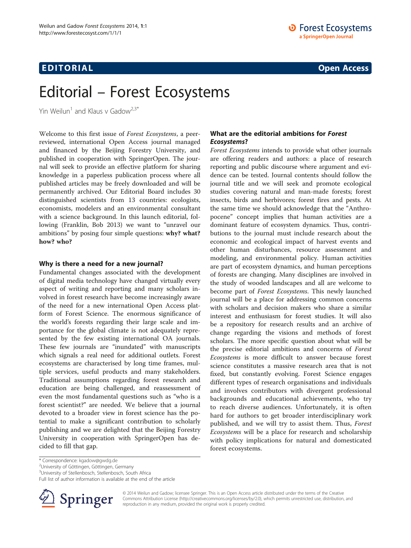# Editorial – Forest Ecosystems

Yin Weilun<sup>1</sup> and Klaus v Gadow<sup>2,3\*</sup>

Welcome to this first issue of Forest Ecosystems, a peerreviewed, international Open Access journal managed and financed by the Beijing Forestry University, and published in cooperation with SpringerOpen. The journal will seek to provide an effective platform for sharing knowledge in a paperless publication process where all published articles may be freely downloaded and will be permanently archived. Our Editorial Board includes 30 distinguished scientists from 13 countries: ecologists, economists, modelers and an environmental consultant with a science background. In this launch editorial, following (Franklin, Bob [2013](#page-2-0)) we want to "unravel our ambitions" by posing four simple questions: why? what? how? who?

## Why is there a need for a new journal?

Fundamental changes associated with the development of digital media technology have changed virtually every aspect of writing and reporting and many scholars involved in forest research have become increasingly aware of the need for a new international Open Access platform of Forest Science. The enormous significance of the world's forests regarding their large scale and importance for the global climate is not adequately represented by the few existing international OA journals. These few journals are "inundated" with manuscripts which signals a real need for additional outlets. Forest ecosystems are characterised by long time frames, multiple services, useful products and many stakeholders. Traditional assumptions regarding forest research and education are being challenged, and reassessment of even the most fundamental questions such as "who is a forest scientist?" are needed. We believe that a journal devoted to a broader view in forest science has the potential to make a significant contribution to scholarly publishing and we are delighted that the Beijing Forestry University in cooperation with SpringerOpen has decided to fill that gap.

# What are the editorial ambitions for Forest Ecosystems?

Forest Ecosystems intends to provide what other journals are offering readers and authors: a place of research reporting and public discourse where argument and evidence can be tested. Journal contents should follow the journal title and we will seek and promote ecological studies covering natural and man-made forests; forest insects, birds and herbivores; forest fires and pests. At the same time we should acknowledge that the "Anthropocene" concept implies that human activities are a dominant feature of ecosystem dynamics. Thus, contributions to the journal must include research about the economic and ecological impact of harvest events and other human disturbances, resource assessment and modeling, and environmental policy. Human activities are part of ecosystem dynamics, and human perceptions of forests are changing. Many disciplines are involved in the study of wooded landscapes and all are welcome to become part of Forest Ecosystems. This newly launched journal will be a place for addressing common concerns with scholars and decision makers who share a similar interest and enthusiasm for forest studies. It will also be a repository for research results and an archive of change regarding the visions and methods of forest scholars. The more specific question about what will be the precise editorial ambitions and concerns of Forest Ecosystems is more difficult to answer because forest science constitutes a massive research area that is not fixed, but constantly evolving. Forest Science engages different types of research organisations and individuals and involves contributors with divergent professional backgrounds and educational achievements, who try to reach diverse audiences. Unfortunately, it is often hard for authors to get broader interdisciplinary work published, and we will try to assist them. Thus, Forest Ecosystems will be a place for research and scholarship with policy implications for natural and domesticated forest ecosystems.

Full list of author information is available at the end of the article



© 2014 Weilun and Gadow; licensee Springer. This is an Open Access article distributed under the terms of the Creative Commons Attribution License (<http://creativecommons.org/licenses/by/2.0>), which permits unrestricted use, distribution, and reproduction in any medium, provided the original work is properly credited.

<sup>\*</sup> Correspondence: [kgadow@gwdg.de](mailto:kgadow@gwdg.de) <sup>2</sup>

University of Göttingen, Göttingen, Germany

<sup>3</sup> University of Stellenbosch, Stellenbosch, South Africa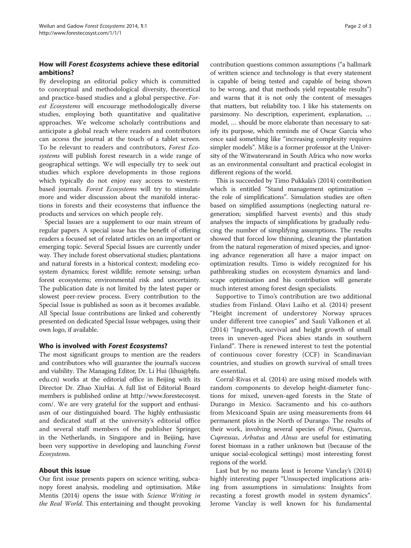# How will Forest Ecosystems achieve these editorial ambitions?

By developing an editorial policy which is committed to conceptual and methodological diversity, theoretical and practice-based studies and a global perspective. Forest Ecosystems will encourage methodologically diverse studies, employing both quantitative and qualitative approaches. We welcome scholarly contributions and anticipate a global reach where readers and contributors can access the journal at the touch of a tablet screen. To be relevant to readers and contributors, Forest Ecosystems will publish forest research in a wide range of geographical settings. We will especially try to seek out studies which explore developments in those regions which typically do not enjoy easy access to westernbased journals. Forest Ecosystems will try to stimulate more and wider discussion about the manifold interactions in forests and their ecosystems that influence the products and services on which people rely.

Special Issues are a supplement to our main stream of regular papers. A special issue has the benefit of offering readers a focused set of related articles on an important or emerging topic. Several Special Issues are currently under way. They include forest observational studies; plantations and natural forests in a historical context; modeling ecosystem dynamics; forest wildlife; remote sensing; urban forest ecosystems; environmental risk and uncertainty. The publication date is not limited by the latest paper or slowest peer-review process. Every contribution to the Special Issue is published as soon as it becomes available. All Special Issue contributions are linked and coherently presented on dedicated Special Issue webpages, using their own logo, if available.

# Who is involved with Forest Ecosystems?

The most significant groups to mention are the readers and contributors who will guarantee the journal's success and viability. The Managing Editor, Dr. Li Hui (lihui@bjfu. edu.cn) works at the editorial office in Beijing with its Director Dr. Zhao XiuHai. A full list of Editorial Board members is published online at [http://www.forestecosyst.](http://www.forestecosyst.com/) [com/.](http://www.forestecosyst.com/) We are very grateful for the support and enthusiasm of our distinguished board. The highly enthusiastic and dedicated staff at the university's editorial office and several staff members of the publisher Springer, in the Netherlands, in Singapore and in Beijing, have been very supportive in developing and launching Forest Ecosystems.

# About this issue

Our first issue presents papers on science writing, subcanopy forest analysis, modeling and optimisation. Mike Mentis ([2014\)](#page-2-0) opens the issue with Science Writing in the Real World. This entertaining and thought provoking

contribution questions common assumptions ("a hallmark of written science and technology is that every statement is capable of being tested and capable of being shown to be wrong, and that methods yield repeatable results") and warns that it is not only the content of messages that matters, but reliability too. I like his statements on parsimony. No description, experiment, explanation, … model, … should be more elaborate than necessary to satisfy its purpose, which reminds me of Oscar García who once said something like "increasing complexity requires simpler models". Mike is a former professor at the University of the Witwatersrand in South Africa who now works as an environmental consultant and practical ecologist in different regions of the world.

This is succeeded by Timo Pukkala's ([2014\)](#page-2-0) contribution which is entitled "Stand management optimization – the role of simplifications". Simulation studies are often based on simplified assumptions (neglecting natural regeneration; simplified harvest events) and this study analyses the impacts of simplifications by gradually reducing the number of simplifying assumptions. The results showed that forced low thinning, cleaning the plantation from the natural regeneration of mixed species, and ignoring advance regeneration all have a major impact on optimization results. Timo is widely recognized for his pathbreaking studies on ecosystem dynamics and landscape optimisation and his contribution will generate much interest among forest design specialists.

Supportive to Timo's contribution are two additional studies from Finland. Olavi Laiho et al. ([2014\)](#page-2-0) present "Height increment of understorey Norway spruces under different tree canopies" and Sauli Valkonen et al. ([2014\)](#page-2-0) "Ingrowth, survival and height growth of small trees in uneven-aged Picea abies stands in southern Finland". There is renewed interest to test the potential of continuous cover forestry (CCF) in Scandinavian countries, and studies on growth survival of small trees are essential.

Corral-Rivas et al. [\(2014\)](#page-2-0) are using mixed models with random components to develop height-diameter functions for mixed, uneven-aged forests in the State of Durango in Mexico. Sacramento and his co-authors from Mexicoand Spain are using measurements from 44 permanent plots in the North of Durango. The results of their work, involving several species of Pinus, Quercus, Cupressus, Arbutus and Alnus are useful for estimating forest biomass in a rather unknown but (because of the unique social-ecological settings) most interesting forest regions of the world.

Last but by no means least is Jerome Vanclay's ([2014](#page-2-0)) highly interesting paper "Unsuspected implications arising from assumptions in simulations: Insights from recasting a forest growth model in system dynamics". Jerome Vanclay is well known for his fundamental